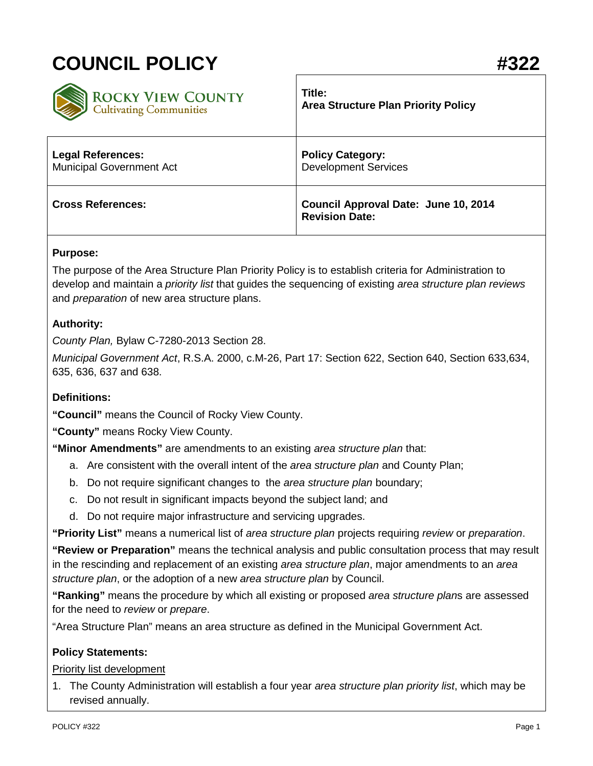# **COUNCIL POLICY #322**

| <b>ROCKY VIEW COUNTY</b>        | Title:                                                        |
|---------------------------------|---------------------------------------------------------------|
| <b>Cultivating Communities</b>  | <b>Area Structure Plan Priority Policy</b>                    |
| <b>Legal References:</b>        | <b>Policy Category:</b>                                       |
| <b>Municipal Government Act</b> | <b>Development Services</b>                                   |
| <b>Cross References:</b>        | Council Approval Date: June 10, 2014<br><b>Revision Date:</b> |

### **Purpose:**

The purpose of the Area Structure Plan Priority Policy is to establish criteria for Administration to develop and maintain a *priority list* that guides the sequencing of existing *area structure plan reviews* and *preparation* of new area structure plans.

### **Authority:**

*County Plan,* Bylaw C-7280-2013 Section 28.

*Municipal Government Act*, R.S.A. 2000, c.M-26, Part 17: Section 622, Section 640, Section 633,634, 635, 636, 637 and 638.

### **Definitions:**

**"Council"** means the Council of Rocky View County.

**"County"** means Rocky View County.

**"Minor Amendments"** are amendments to an existing *area structure plan* that:

- a. Are consistent with the overall intent of the *area structure plan* and County Plan;
- b. Do not require significant changes to the *area structure plan* boundary;
- c. Do not result in significant impacts beyond the subject land; and
- d. Do not require major infrastructure and servicing upgrades.

**"Priority List"** means a numerical list of *area structure plan* projects requiring *review* or *preparation*.

**"Review or Preparation"** means the technical analysis and public consultation process that may result in the rescinding and replacement of an existing *area structure plan*, major amendments to an *area structure plan*, or the adoption of a new *area structure plan* by Council.

**"Ranking"** means the procedure by which all existing or proposed *area structure plan*s are assessed for the need to *review* or *prepare*.

"Area Structure Plan" means an area structure as defined in the Municipal Government Act.

### **Policy Statements:**

#### Priority list development

1. The County Administration will establish a four year *area structure plan priority list*, which may be revised annually.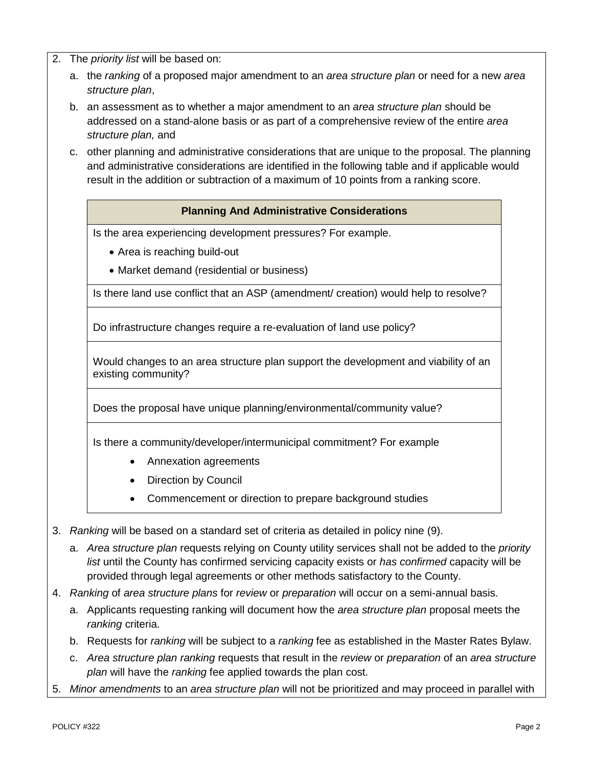- 2. The *priority list* will be based on:
	- a. the *ranking* of a proposed major amendment to an *area structure plan* or need for a new *area structure plan*,
	- b. an assessment as to whether a major amendment to an *area structure plan* should be addressed on a stand-alone basis or as part of a comprehensive review of the entire *area structure plan,* and
	- c. other planning and administrative considerations that are unique to the proposal. The planning and administrative considerations are identified in the following table and if applicable would result in the addition or subtraction of a maximum of 10 points from a ranking score.

### **Planning And Administrative Considerations**

Is the area experiencing development pressures? For example.

- Area is reaching build-out
- Market demand (residential or business)

Is there land use conflict that an ASP (amendment/ creation) would help to resolve?

Do infrastructure changes require a re-evaluation of land use policy?

Would changes to an area structure plan support the development and viability of an existing community?

Does the proposal have unique planning/environmental/community value?

Is there a community/developer/intermunicipal commitment? For example

- Annexation agreements
- **Direction by Council**
- Commencement or direction to prepare background studies
- 3. *Ranking* will be based on a standard set of criteria as detailed in policy nine (9).
	- a. *Area structure plan* requests relying on County utility services shall not be added to the *priority list* until the County has confirmed servicing capacity exists or *has confirmed* capacity will be provided through legal agreements or other methods satisfactory to the County.
- 4. *Ranking* of *area structure plans* for *review* or *preparation* will occur on a semi-annual basis.
	- a. Applicants requesting ranking will document how the *area structure plan* proposal meets the *ranking* criteria.
	- b. Requests for *ranking* will be subject to a *ranking* fee as established in the Master Rates Bylaw.
	- c. *Area structure plan ranking* requests that result in the *review* or *preparation* of an *area structure plan* will have the *ranking* fee applied towards the plan cost.
- 5. *Minor amendments* to an *area structure plan* will not be prioritized and may proceed in parallel with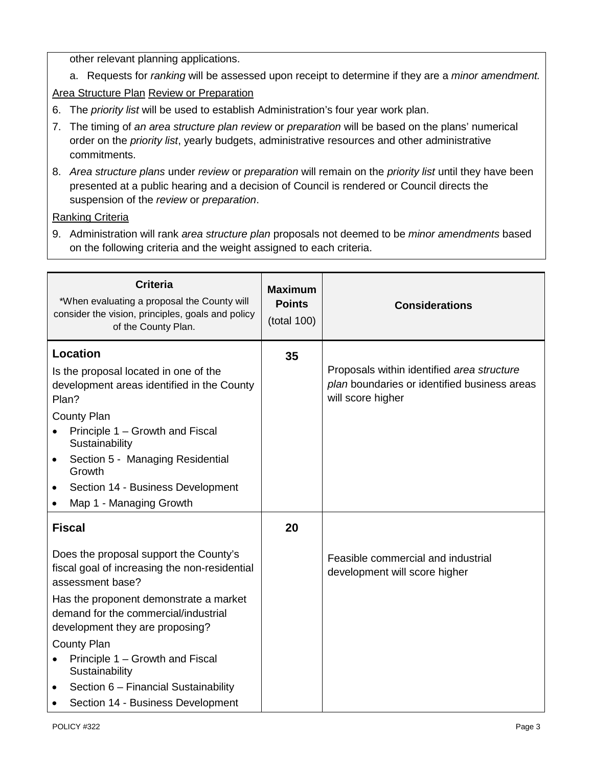other relevant planning applications.

a. Requests for *ranking* will be assessed upon receipt to determine if they are a *minor amendment.*

## Area Structure Plan Review or Preparation

- 6. The *priority list* will be used to establish Administration's four year work plan.
- 7. The timing of *an area structure plan review* or *preparation* will be based on the plans' numerical order on the *priority list*, yearly budgets, administrative resources and other administrative commitments.
- 8. *Area structure plans* under *review* or *preparation* will remain on the *priority list* until they have been presented at a public hearing and a decision of Council is rendered or Council directs the suspension of the *review* or *preparation*.

## Ranking Criteria

9. Administration will rank *area structure plan* proposals not deemed to be *minor amendments* based on the following criteria and the weight assigned to each criteria.

| <b>Criteria</b><br>*When evaluating a proposal the County will<br>consider the vision, principles, goals and policy<br>of the County Plan.                                                                                                                                                                                  | <b>Maximum</b><br><b>Points</b><br>(total 100) | <b>Considerations</b>                                                                                           |
|-----------------------------------------------------------------------------------------------------------------------------------------------------------------------------------------------------------------------------------------------------------------------------------------------------------------------------|------------------------------------------------|-----------------------------------------------------------------------------------------------------------------|
| Location<br>Is the proposal located in one of the<br>development areas identified in the County<br>Plan?<br><b>County Plan</b><br>Principle 1 - Growth and Fiscal<br>Sustainability<br>Section 5 - Managing Residential<br>$\bullet$<br>Growth<br>Section 14 - Business Development<br>$\bullet$<br>Map 1 - Managing Growth | 35                                             | Proposals within identified area structure<br>plan boundaries or identified business areas<br>will score higher |
| <b>Fiscal</b>                                                                                                                                                                                                                                                                                                               | 20                                             |                                                                                                                 |
| Does the proposal support the County's<br>fiscal goal of increasing the non-residential<br>assessment base?<br>Has the proponent demonstrate a market<br>demand for the commercial/industrial                                                                                                                               |                                                | Feasible commercial and industrial<br>development will score higher                                             |
| development they are proposing?<br>County Plan                                                                                                                                                                                                                                                                              |                                                |                                                                                                                 |
| Principle 1 - Growth and Fiscal<br>$\bullet$<br>Sustainability                                                                                                                                                                                                                                                              |                                                |                                                                                                                 |
| Section 6 - Financial Sustainability<br>$\bullet$<br>Section 14 - Business Development                                                                                                                                                                                                                                      |                                                |                                                                                                                 |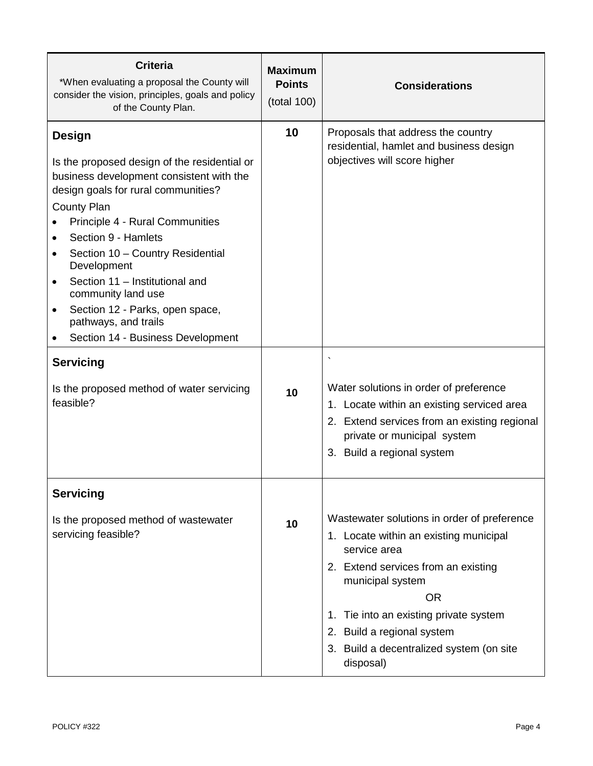| <b>Criteria</b><br>*When evaluating a proposal the County will<br>consider the vision, principles, goals and policy<br>of the County Plan.                                                                                                                                                                                                                                                                                                                    | <b>Maximum</b><br><b>Points</b><br>(total 100) | <b>Considerations</b>                                                                                                                                                                                                                                                                                             |
|---------------------------------------------------------------------------------------------------------------------------------------------------------------------------------------------------------------------------------------------------------------------------------------------------------------------------------------------------------------------------------------------------------------------------------------------------------------|------------------------------------------------|-------------------------------------------------------------------------------------------------------------------------------------------------------------------------------------------------------------------------------------------------------------------------------------------------------------------|
| <b>Design</b><br>Is the proposed design of the residential or<br>business development consistent with the<br>design goals for rural communities?<br><b>County Plan</b><br>Principle 4 - Rural Communities<br>Section 9 - Hamlets<br>Section 10 - Country Residential<br>Development<br>Section 11 - Institutional and<br>$\bullet$<br>community land use<br>Section 12 - Parks, open space,<br>٠<br>pathways, and trails<br>Section 14 - Business Development | 10                                             | Proposals that address the country<br>residential, hamlet and business design<br>objectives will score higher                                                                                                                                                                                                     |
| <b>Servicing</b><br>Is the proposed method of water servicing<br>feasible?                                                                                                                                                                                                                                                                                                                                                                                    | 10                                             | $\cdot$<br>Water solutions in order of preference<br>1. Locate within an existing serviced area<br>2. Extend services from an existing regional<br>private or municipal system<br>3. Build a regional system                                                                                                      |
| <b>Servicing</b><br>Is the proposed method of wastewater<br>servicing feasible?                                                                                                                                                                                                                                                                                                                                                                               | 10                                             | Wastewater solutions in order of preference<br>1. Locate within an existing municipal<br>service area<br>2. Extend services from an existing<br>municipal system<br><b>OR</b><br>Tie into an existing private system<br>1.<br>2. Build a regional system<br>3. Build a decentralized system (on site<br>disposal) |